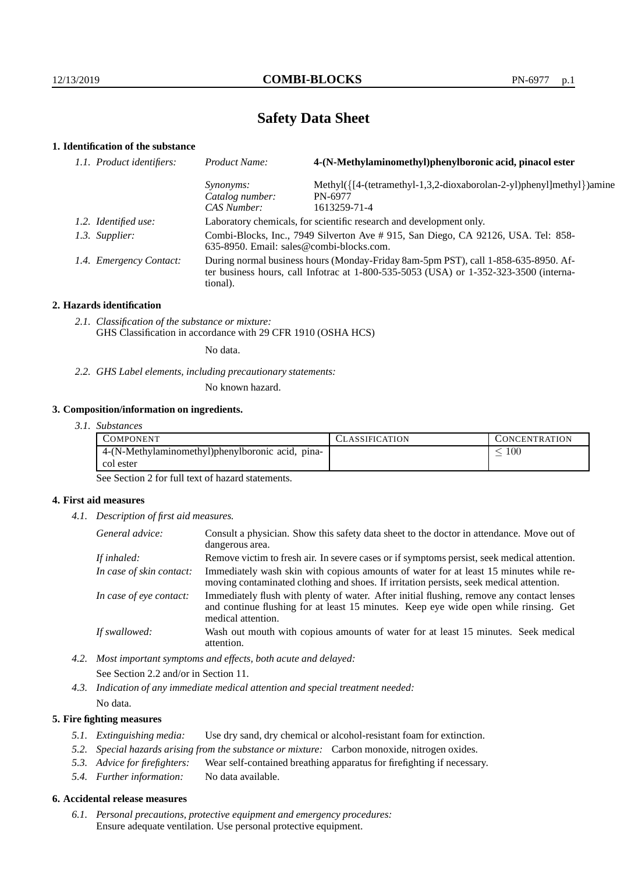# **Safety Data Sheet**

# **1. Identification of the substance**

| 1.1. Product identifiers: | 4-(N-Methylaminomethyl)phenylboronic acid, pinacol ester<br>Product Name:                                                                                                                   |                                                                      |
|---------------------------|---------------------------------------------------------------------------------------------------------------------------------------------------------------------------------------------|----------------------------------------------------------------------|
|                           | <i>Synonyms:</i>                                                                                                                                                                            | Methyl({[4-(tetramethyl-1,3,2-dioxaborolan-2-yl)phenyl]methyl})amine |
|                           | Catalog number:                                                                                                                                                                             | PN-6977                                                              |
|                           | CAS Number:                                                                                                                                                                                 | 1613259-71-4                                                         |
| 1.2. Identified use:      | Laboratory chemicals, for scientific research and development only.                                                                                                                         |                                                                      |
| 1.3. Supplier:            | Combi-Blocks, Inc., 7949 Silverton Ave # 915, San Diego, CA 92126, USA. Tel: 858-<br>$635-8950$ . Email: sales@combi-blocks.com.                                                            |                                                                      |
| 1.4. Emergency Contact:   | During normal business hours (Monday-Friday 8am-5pm PST), call 1-858-635-8950. Af-<br>ter business hours, call Infotrac at $1-800-535-5053$ (USA) or $1-352-323-3500$ (interna-<br>tional). |                                                                      |

## **2. Hazards identification**

*2.1. Classification of the substance or mixture:* GHS Classification in accordance with 29 CFR 1910 (OSHA HCS)

No data.

*2.2. GHS Label elements, including precautionary statements:*

No known hazard.

## **3. Composition/information on ingredients.**

*3.1. Substances*

| COMPONENT                                        | LASSIFICATION | CONCENTRATION |
|--------------------------------------------------|---------------|---------------|
| 4-(N-Methylaminomethyl)phenylboronic acid, pina- |               | 100           |
| col ester                                        |               |               |

See Section 2 for full text of hazard statements.

## **4. First aid measures**

*4.1. Description of first aid measures.*

| General advice:          | Consult a physician. Show this safety data sheet to the doctor in attendance. Move out of<br>dangerous area.                                                                                            |  |
|--------------------------|---------------------------------------------------------------------------------------------------------------------------------------------------------------------------------------------------------|--|
| If inhaled:              | Remove victim to fresh air. In severe cases or if symptoms persist, seek medical attention.                                                                                                             |  |
| In case of skin contact: | Immediately wash skin with copious amounts of water for at least 15 minutes while re-<br>moving contaminated clothing and shoes. If irritation persists, seek medical attention.                        |  |
| In case of eye contact:  | Immediately flush with plenty of water. After initial flushing, remove any contact lenses<br>and continue flushing for at least 15 minutes. Keep eye wide open while rinsing. Get<br>medical attention. |  |
| If swallowed:            | Wash out mouth with copious amounts of water for at least 15 minutes. Seek medical<br>attention.                                                                                                        |  |

*4.2. Most important symptoms and effects, both acute and delayed:* See Section 2.2 and/or in Section 11.

*4.3. Indication of any immediate medical attention and special treatment needed:* No data.

## **5. Fire fighting measures**

- *5.1. Extinguishing media:* Use dry sand, dry chemical or alcohol-resistant foam for extinction.
- *5.2. Special hazards arising from the substance or mixture:* Carbon monoxide, nitrogen oxides.
- *5.3. Advice for firefighters:* Wear self-contained breathing apparatus for firefighting if necessary.
- *5.4. Further information:* No data available.

## **6. Accidental release measures**

*6.1. Personal precautions, protective equipment and emergency procedures:* Ensure adequate ventilation. Use personal protective equipment.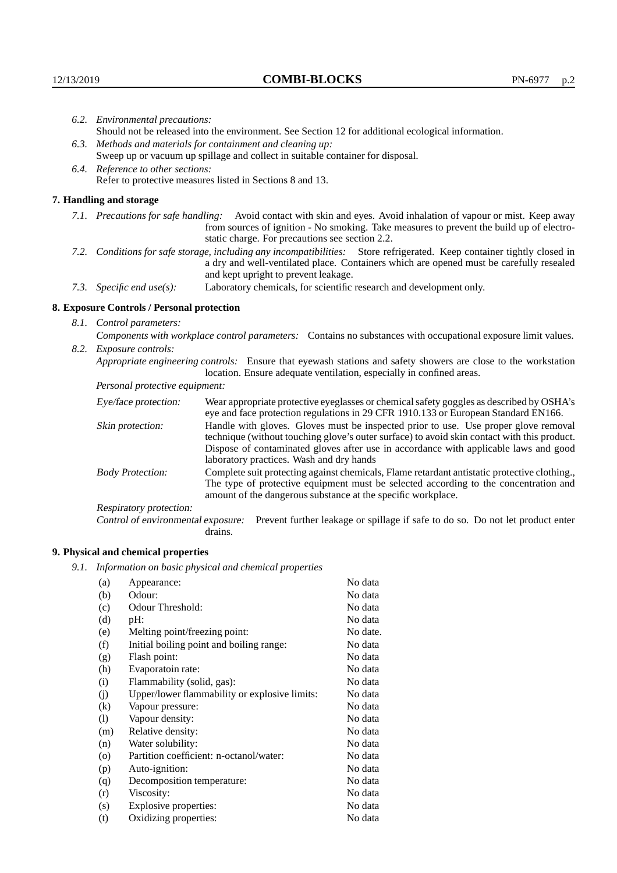|                                   | 6.2. Environmental precautions:                                                                                                                                                                                                                                    |                                                                                                                                                                                                                                                                            |  |
|-----------------------------------|--------------------------------------------------------------------------------------------------------------------------------------------------------------------------------------------------------------------------------------------------------------------|----------------------------------------------------------------------------------------------------------------------------------------------------------------------------------------------------------------------------------------------------------------------------|--|
|                                   | Should not be released into the environment. See Section 12 for additional ecological information.                                                                                                                                                                 |                                                                                                                                                                                                                                                                            |  |
|                                   | 6.3. Methods and materials for containment and cleaning up:                                                                                                                                                                                                        |                                                                                                                                                                                                                                                                            |  |
|                                   | Sweep up or vacuum up spillage and collect in suitable container for disposal.                                                                                                                                                                                     |                                                                                                                                                                                                                                                                            |  |
| 6.4. Reference to other sections: |                                                                                                                                                                                                                                                                    |                                                                                                                                                                                                                                                                            |  |
|                                   |                                                                                                                                                                                                                                                                    | Refer to protective measures listed in Sections 8 and 13.                                                                                                                                                                                                                  |  |
|                                   | 7. Handling and storage                                                                                                                                                                                                                                            |                                                                                                                                                                                                                                                                            |  |
|                                   | 7.1. Precautions for safe handling: Avoid contact with skin and eyes. Avoid inhalation of vapour or mist. Keep away<br>from sources of ignition - No smoking. Take measures to prevent the build up of electro-<br>static charge. For precautions see section 2.2. |                                                                                                                                                                                                                                                                            |  |
|                                   | 7.2. Conditions for safe storage, including any incompatibilities: Store refrigerated. Keep container tightly closed in<br>a dry and well-ventilated place. Containers which are opened must be carefully resealed<br>and kept upright to prevent leakage.         |                                                                                                                                                                                                                                                                            |  |
|                                   | Laboratory chemicals, for scientific research and development only.<br>7.3. Specific end use(s):                                                                                                                                                                   |                                                                                                                                                                                                                                                                            |  |
|                                   | 8. Exposure Controls / Personal protection                                                                                                                                                                                                                         |                                                                                                                                                                                                                                                                            |  |
|                                   | 8.1. Control parameters:                                                                                                                                                                                                                                           |                                                                                                                                                                                                                                                                            |  |
|                                   |                                                                                                                                                                                                                                                                    | Components with workplace control parameters: Contains no substances with occupational exposure limit values.                                                                                                                                                              |  |
|                                   | 8.2. Exposure controls:                                                                                                                                                                                                                                            |                                                                                                                                                                                                                                                                            |  |
|                                   |                                                                                                                                                                                                                                                                    | Appropriate engineering controls: Ensure that eyewash stations and safety showers are close to the workstation<br>location. Ensure adequate ventilation, especially in confined areas.                                                                                     |  |
|                                   | Personal protective equipment:                                                                                                                                                                                                                                     |                                                                                                                                                                                                                                                                            |  |
|                                   | Eye/face protection:                                                                                                                                                                                                                                               | Wear appropriate protective eyeglasses or chemical safety goggles as described by OSHA's<br>eye and face protection regulations in 29 CFR 1910.133 or European Standard EN166.                                                                                             |  |
|                                   | Skin protection:                                                                                                                                                                                                                                                   | Handle with gloves. Gloves must be inspected prior to use. Use proper glove removal<br>technique (without touching glove's outer surface) to avoid skin contact with this product.<br>Dispose of conteminated gloves efter use in accordance with emplicable laws and good |  |

## **8. Exposure Controls / Personal protection**

| Eye/face protection:               | Wear appropriate protective eyeglasses or chemical safety goggles as described by OSHA's<br>eye and face protection regulations in 29 CFR 1910.133 or European Standard EN166.                                                                                                                                         |
|------------------------------------|------------------------------------------------------------------------------------------------------------------------------------------------------------------------------------------------------------------------------------------------------------------------------------------------------------------------|
| Skin protection:                   | Handle with gloves. Gloves must be inspected prior to use. Use proper glove removal<br>technique (without touching glove's outer surface) to avoid skin contact with this product.<br>Dispose of contaminated gloves after use in accordance with applicable laws and good<br>laboratory practices. Wash and dry hands |
| <b>Body Protection:</b>            | Complete suit protecting against chemicals, Flame retardant antistatic protective clothing.,<br>The type of protective equipment must be selected according to the concentration and<br>amount of the dangerous substance at the specific workplace.                                                                   |
| <b>Respiratory protection:</b>     |                                                                                                                                                                                                                                                                                                                        |
| Control of environmental exposure: | Prevent further leakage or spillage if safe to do so. Do not let product enter<br>drains.                                                                                                                                                                                                                              |

# **9. Physical and chemical properties**

*9.1. Information on basic physical and chemical properties*

| (a)      | Appearance:                                   | No data  |
|----------|-----------------------------------------------|----------|
| (b)      | Odour:                                        | No data  |
| (c)      | Odour Threshold:                              | No data  |
| (d)      | pH:                                           | No data  |
| (e)      | Melting point/freezing point:                 | No date. |
| (f)      | Initial boiling point and boiling range:      | No data  |
| (g)      | Flash point:                                  | No data  |
| (h)      | Evaporatoin rate:                             | No data  |
| (i)      | Flammability (solid, gas):                    | No data  |
| (j)      | Upper/lower flammability or explosive limits: | No data  |
| $\rm(k)$ | Vapour pressure:                              | No data  |
| (1)      | Vapour density:                               | No data  |
| (m)      | Relative density:                             | No data  |
| (n)      | Water solubility:                             | No data  |
| (0)      | Partition coefficient: n-octanol/water:       | No data  |
| (p)      | Auto-ignition:                                | No data  |
| (q)      | Decomposition temperature:                    | No data  |
| (r)      | Viscosity:                                    | No data  |
| (s)      | Explosive properties:                         | No data  |
| (t)      | Oxidizing properties:                         | No data  |